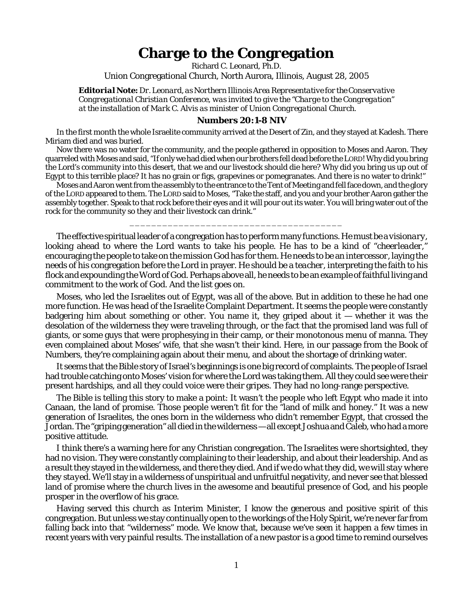## **Charge to the Congregation**

Richard C. Leonard, Ph.D.

Union Congregational Church, North Aurora, Illinois, August 28, 2005

*Editorial Note: Dr. Leonard, as Northern Illinois Area Representative for the Conservative Congregational Christian Conference, was invited to give the "Charge to the Congregation" at the installation of Mark C. Alvis as minister of Union Congregational Church.*

## **Numbers 20:1-8 NIV**

In the first month the whole Israelite community arrived at the Desert of Zin, and they stayed at Kadesh. There Miriam died and was buried.

Now there was no water for the community, and the people gathered in opposition to Moses and Aaron. They quarreled with Moses and said, "If only we had died when our brothers fell dead before the LORD! Why did you bring the Lord's community into this desert, that we and our livestock should die here? Why did you bring us up out of Egypt to this terrible place? It has no grain or figs, grapevines or pomegranates. And there is no water to drink!"

Moses and Aaron went from the assembly to the entrance to the Tent of Meeting and fell face down, and the glory of the LORD appeared to them. The LORD said to Moses, "Take the staff, and you and your brother Aaron gather the assembly together. Speak to that rock before their eyes and it will pour out its water. You will bring water out of the rock for the community so they and their livestock can drink."

\_\_\_\_\_\_\_\_\_\_\_\_\_\_\_\_\_\_\_\_\_\_\_\_\_\_\_\_\_\_\_\_\_\_\_\_\_\_\_

The effective spiritual leader of a congregation has to perform many functions. He must be a *visionary*, looking ahead to where the Lord wants to take his people. He has to be a kind of "*cheerleader*," encouraging the people to take on the mission God has for them. He needs to be an *intercessor*, laying the needs of his congregation before the Lord in prayer. He should be a *teacher*, interpreting the faith to his flock and expounding the Word of God. Perhaps above all, he needs to be an *example* of faithful living and commitment to the work of God. And the list goes on.

Moses, who led the Israelites out of Egypt, was all of the above. But in addition to these he had one more function. He was head of the Israelite Complaint Department. It seems the people were constantly badgering him about something or other. You name it, they griped about it  $-$  whether it was the desolation of the wilderness they were traveling through, or the fact that the promised land was full of giants, or some guys that were prophesying in their camp, or their monotonous menu of manna. They even complained about Moses' wife, that she wasn't their kind. Here, in our passage from the Book of Numbers, they're complaining again about their menu, and about the shortage of drinking water.

It seems that the Bible story of Israel's beginnings is one big record of complaints. The people of Israel had trouble catching onto Moses' vision for where the Lord was taking them. All they could see were their present hardships, and all they could voice were their gripes. They had no long-range perspective.

The Bible is telling this story to make a point: It wasn't the people who left Egypt who made it into Canaan, the land of promise. Those people weren't fit for the "land of milk and honey." It was a new generation of Israelites, the ones born in the wilderness who didn't remember Egypt, that crossed the Jordan. The "griping generation" all died in the wilderness — all except Joshua and Caleb, who had a more positive attitude.

I think there's a warning here for any Christian congregation. The Israelites were shortsighted, they had no vision. They were constantly complaining *to* their leadership, and *about* their leadership. And as a result they stayed in the wilderness, and there they died. And *if we do what they did, we will stay where they stayed.* We'll stay in a wilderness of unspiritual and unfruitful negativity, and never see that blessed land of promise where the church lives in the awesome and beautiful presence of God, and his people prosper in the overflow of his grace.

Having served this church as Interim Minister, I know the generous and positive spirit of this congregation. But unless we stay continually open to the workings of the Holy Spirit, we're never far from falling back into that "wilderness" mode. We know that, because we've seen it happen a few times in recent years with very painful results. The installation of a new pastor is a good time to remind ourselves